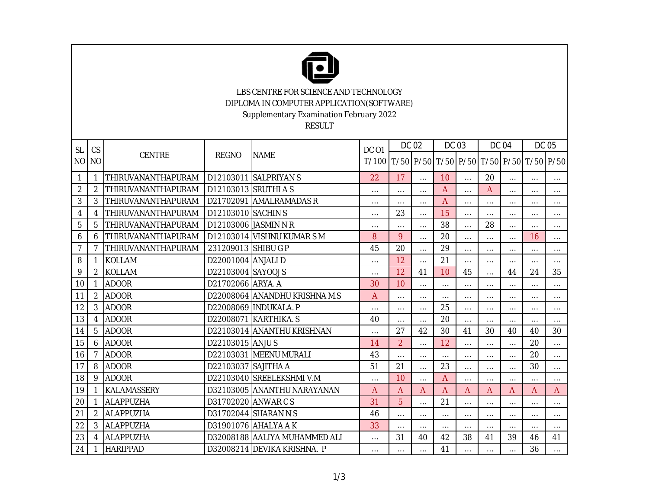

LBS CENTRE FOR SCIENCE AND TECHNOLOGY DIPLOMA IN COMPUTER APPLICATION(SOFTWARE) Supplementary Examination February 2022

RESULT

| <b>SL</b><br>N <sub>O</sub> | CS             | <b>CENTRE</b>      |                      | <b>NAME</b>                   | <b>DC 01</b><br>T/100 | <b>DC 02</b>   |          | DC 03                                   |          | <b>DC 04</b>   |          | DC 05    |                |
|-----------------------------|----------------|--------------------|----------------------|-------------------------------|-----------------------|----------------|----------|-----------------------------------------|----------|----------------|----------|----------|----------------|
|                             | <b>NO</b>      |                    | REGNO                |                               |                       |                |          | T/50 P/50 T/50 P/50 T/50 P/50 T/50 P/50 |          |                |          |          |                |
| 1                           |                | THIRUVANANTHAPURAM |                      | D12103011 SALPRIYAN S         | 22                    | 17             | $\cdots$ | 10                                      | $\cdots$ | 20             | $\cdots$ | $\cdots$ | $\cdots$       |
| $\overline{2}$              | 2              | THIRUVANANTHAPURAM | D12103013 SRUTHI A S |                               | $\cdots$              | $\cdots$       | $\cdots$ | A                                       | $\cdots$ | $\overline{A}$ | $\cdots$ | $\cdots$ | $\cdots$       |
| 3                           | 3              | THIRUVANANTHAPURAM |                      | D21702091 AMALRAMADAS R       | $\cdots$              | $\cdots$       | $\cdots$ | A                                       | $\cdots$ | $\cdots$       | $\cdots$ | $\cdots$ | $\cdots$       |
| 4                           | 4              | THIRUVANANTHAPURAM | D12103010 SACHIN S   |                               | $\cdots$              | 23             | $\cdots$ | 15                                      | $\cdots$ | $\cdots$       | $\cdots$ | $\cdots$ | $\cdots$       |
| 5                           | 5              | THIRUVANANTHAPURAM |                      | D12103006 JASMIN N R          | $\cdots$              | $\cdots$       | $\cdots$ | 38                                      | $\cdots$ | 28             | $\cdots$ | $\cdots$ | $\cdots$       |
| 6                           | 6              | THIRUVANANTHAPURAM |                      | D12103014 VISHNU KUMAR SM     | 8                     | 9              | $\cdots$ | 20                                      | $\cdots$ | $\cdots$       | $\cdots$ | 16       | $\cdots$       |
| $\overline{7}$              | 7              | THIRUVANANTHAPURAM | 231209013 SHIBU G P  |                               | 45                    | 20             | $\cdots$ | 29                                      | $\cdots$ | $\cdots$       | $\cdots$ | $\cdots$ | $\cdots$       |
| 8                           |                | <b>KOLLAM</b>      | D22001004 ANJALI D   |                               | $\cdots$              | 12             | $\cdots$ | 21                                      | $\cdots$ | $\cdots$       | $\cdots$ | $\cdots$ | $\cdots$       |
| 9                           | 2              | <b>KOLLAM</b>      | D22103004 SAYOOJ S   |                               | $\cdots$              | 12             | 41       | 10                                      | 45       | $\cdots$       | 44       | 24       | 35             |
| 10                          |                | <b>ADOOR</b>       | D21702066 ARYA. A    |                               | 30                    | 10             | $\cdots$ | $\cdots$                                | $\cdots$ | $\cdots$       | $\cdots$ | $\cdots$ | $\cdots$       |
| 11                          | 2              | <b>ADOOR</b>       |                      | D22008064 ANANDHU KRISHNA M.S | A                     | $\cdots$       | $\cdots$ | $\cdots$                                | $\cdots$ | $\cdots$       | $\cdots$ | $\cdots$ | $\cdots$       |
| 12                          | 3              | <b>ADOOR</b>       |                      | D22008069 INDUKALA. P         | $\cdots$              | $\cdots$       | $\cdots$ | 25                                      | $\cdots$ | $\cdots$       | $\cdots$ | $\cdots$ | $\cdots$       |
| 13                          | 4              | <b>ADOOR</b>       |                      | D22008071 KARTHIKA. S         | 40                    | $\cdots$       | $\cdots$ | 20                                      | $\cdots$ | $\cdots$       | $\cdots$ | $\cdots$ | $\cdots$       |
| 14                          | 5              | <b>ADOOR</b>       |                      | D22103014 ANANTHU KRISHNAN    | $\cdots$              | 27             | 42       | 30                                      | 41       | 30             | 40       | 40       | 30             |
| 15                          | 6              | <b>ADOOR</b>       | D22103015 ANJUS      |                               | 14                    | $\overline{2}$ | $\cdots$ | 12                                      | $\cdots$ | $\cdots$       | $\cdots$ | 20       | $\cdots$       |
| 16                          |                | <b>ADOOR</b>       |                      | D22103031 MEENU MURALI        | 43                    | $\cdots$       | $\cdots$ | $\cdots$                                | $\cdots$ | $\cdots$       | $\cdots$ | 20       | $\cdots$       |
| 17                          | 8              | <b>ADOOR</b>       | D22103037 SAJITHA A  |                               | 51                    | 21             | $\cdots$ | 23                                      | $\cdots$ | $\cdots$       | $\cdots$ | 30       | $\cdots$       |
| 18                          | 9              | <b>ADOOR</b>       |                      | D22103040 SREELEKSHMI V.M     | $\cdots$              | 10             | $\cdots$ | $\overline{A}$                          | $\cdots$ | $\cdots$       | $\cdots$ | $\cdots$ | $\cdots$       |
| 19                          |                | KALAMASSERY        |                      | D32103005 ANANTHU NARAYANAN   | $\mathsf{A}$          | A              | A        | A                                       | A        | A              | A        | A        | $\overline{A}$ |
| 20                          |                | ALAPPUZHA          |                      | D31702020 ANWAR C S           | 31                    | 5              | $\cdots$ | 21                                      | $\cdots$ | $\cdots$       | $\cdots$ | $\cdots$ | $\cdots$       |
| 21                          |                | <b>ALAPPUZHA</b>   |                      | D31702044 SHARAN N S          | 46                    | $\cdots$       | $\cdots$ | $\cdots$                                | $\cdots$ | $\cdots$       | $\cdots$ | $\cdots$ | $\cdots$       |
| 22                          | 3              | ALAPPUZHA          |                      | D31901076 AHALYA A K          | 33                    | $\cdots$       | $\cdots$ | $\cdots$                                | $\cdots$ | $\cdots$       | $\cdots$ | $\cdots$ | $\cdots$       |
| 23                          | $\overline{4}$ | <b>ALAPPUZHA</b>   |                      | D32008188 AALIYA MUHAMMED ALI | $\cdots$              | 31             | 40       | 42                                      | 38       | 41             | 39       | 46       | 41             |
| 24                          |                | <b>HARIPPAD</b>    |                      | D32008214 DEVIKA KRISHNA. P   | $\cdots$              | $\cdots$       | $\cdots$ | 41                                      | $\cdots$ | $\cdots$       | $\cdots$ | 36       | $\cdots$       |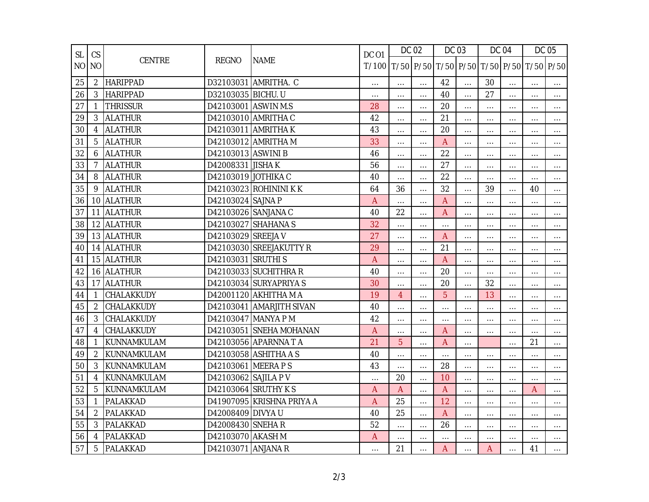| <b>SL</b> | CS             | CENTRE          | <b>REGNO</b>         | <b>NAME</b>               | <b>DC 01</b><br>T/100 | DC 02          |          | DC 03                                   |          | <b>DC 04</b> |          | DC 05    |          |
|-----------|----------------|-----------------|----------------------|---------------------------|-----------------------|----------------|----------|-----------------------------------------|----------|--------------|----------|----------|----------|
|           | NO NO          |                 |                      |                           |                       |                |          | T/50 P/50 T/50 P/50 T/50 P/50 T/50 P/50 |          |              |          |          |          |
| 25        | 2              | <b>HARIPPAD</b> |                      | D32103031 AMRITHA. C      | $\cdots$              | $\cdots$       | $\cdots$ | 42                                      | $\cdots$ | 30           | $\cdots$ | $\cdots$ | $\cdots$ |
| 26        | 3              | <b>HARIPPAD</b> | D32103035 BICHU. U   |                           | $\ldots$              | $\cdots$       | $\cdots$ | 40                                      | $\cdots$ | 27           | $\cdots$ | $\cdots$ | $\cdots$ |
| 27        |                | <b>THRISSUR</b> | D42103001 ASWIN M.S  |                           | 28                    | $\cdots$       | $\cdots$ | 20                                      | $\cdots$ | $\cdots$     | $\ldots$ | $\ldots$ | $\ldots$ |
| 29        | 3              | <b>ALATHUR</b>  |                      | D42103010 AMRITHA C       | 42                    |                | $\cdots$ | 21                                      | $\cdots$ | $\cdots$     |          | $\cdots$ | $\cdots$ |
| 30        | 4              | <b>ALATHUR</b>  |                      | D42103011 AMRITHA K       | 43                    | $\cdots$       | $\cdots$ | 20                                      | $\cdots$ | $\cdots$     | $\cdots$ | $\cdots$ | $\cdots$ |
| 31        | 5              | <b>ALATHUR</b>  |                      | D42103012 AMRITHA M       | 33                    | $\cdots$       | $\cdots$ | A                                       | $\cdots$ | $\cdots$     | $\cdots$ | $\cdots$ | $\cdots$ |
| 32        | 6              | <b>ALATHUR</b>  | D42103013 ASWINI B   |                           | 46                    |                | $\cdots$ | 22                                      | $\cdots$ | $\cdots$     | .        | $\cdots$ | $\cdots$ |
| 33        | 7              | <b>ALATHUR</b>  | D42008331 JISHA K    |                           | 56                    | $\cdots$       | $\cdots$ | 27                                      | $\cdots$ | $\ldots$     | $\cdots$ | $\cdots$ | $\cdots$ |
| 34        | 8              | <b>ALATHUR</b>  | D42103019 JOTHIKA C  |                           | 40                    | $\cdots$       | $\cdots$ | 22                                      | $\cdots$ | $\cdots$     | $\cdots$ | $\cdots$ | $\cdots$ |
| 35        | 9              | <b>ALATHUR</b>  |                      | D42103023 ROHININI KK     | 64                    | 36             | $\cdots$ | 32                                      | $\dots$  | 39           | $\cdots$ | 40       | $\cdots$ |
| 36        |                | 10 ALATHUR      | D42103024 SAJNA P    |                           | $\overline{A}$        |                | $\cdots$ | A                                       | $\cdots$ | $\cdots$     | $\cdots$ | $\cdots$ | $\ldots$ |
| 37        |                | 11 ALATHUR      | D42103026 SANJANA C  |                           | 40                    | 22             | $\cdots$ | A                                       | $\cdots$ | .            | .        |          | $\cdots$ |
| 38        |                | 12 ALATHUR      |                      | D42103027 SHAHANA S       | 32                    | $\ldots$       | $\ldots$ | $\ldots$                                | $\cdots$ | $\ldots$     | $\cdots$ | $\cdots$ | $\ldots$ |
| 39        |                | 13 ALATHUR      | D42103029 SREEJA V   |                           | 27                    |                | $\cdots$ | A                                       | $\cdots$ | $\cdots$     | $\cdots$ | $\cdots$ | $\cdots$ |
| 40        | 14             | <b>ALATHUR</b>  |                      | D42103030 SREEJAKUTTY R   | 29                    | $\cdots$       | $\cdots$ | 21                                      | $\cdots$ | $\cdots$     | $\cdots$ | $\cdots$ | $\cdots$ |
| 41        |                | 15 ALATHUR      | D42103031 SRUTHI S   |                           | A                     | $\cdots$       | $\cdots$ | A                                       | $\cdots$ | $\cdots$     | $\cdots$ | $\cdots$ | $\cdots$ |
| 42        |                | 16 ALATHUR      |                      | D42103033 SUCHITHRA R     | 40                    | $\cdots$       | $\cdots$ | 20                                      | $\cdots$ | $\cdots$     | $\cdots$ | $\cdots$ | $\cdots$ |
| 43        |                | 17 ALATHUR      |                      | D42103034 SURYAPRIYA S    | 30                    | $\cdots$       | $\cdots$ | 20                                      | $\cdots$ | 32           | $\cdots$ | $\cdots$ | $\cdots$ |
| 44        |                | CHALAKKUDY      |                      | D42001120 AKHITHA M A     | 19                    | $\overline{4}$ | $\cdots$ | 5                                       | $\cdots$ | 13           | $\cdots$ | $\cdots$ | $\cdots$ |
| 45        | 2              | CHALAKKUDY      |                      | D42103041 AMARJITH SIVAN  | 40                    | $\cdots$       | $\cdots$ | $\cdots$                                | $\cdots$ | $\cdots$     | $\cdots$ | $\cdots$ | $\ldots$ |
| 46        | 3              | CHALAKKUDY      |                      | D42103047 MANYA P M       | 42                    | $\cdots$       | $\cdots$ | $\cdots$                                | $\cdots$ | $\cdots$     | $\cdots$ | $\cdots$ | $\cdots$ |
| 47        | 4              | CHALAKKUDY      |                      | D42103051 SNEHA MOHANAN   | A                     | $\cdots$       | $\cdots$ | A                                       | $\cdots$ | $\cdots$     | $\cdots$ |          | $\cdots$ |
| 48        |                | KUNNAMKULAM     |                      | D42103056 APARNNA T A     | 21                    | 5              | $\ldots$ | A                                       | $\cdots$ |              | $\cdots$ | 21       | $\cdots$ |
| 49        | $\overline{2}$ | KUNNAMKULAM     |                      | D42103058 ASHITHA A S     | 40                    |                | $\cdots$ | $\ddotsc$                               | $\cdots$ | $\cdots$     | $\cdots$ | $\cdots$ | $\cdots$ |
| 50        | 3              | KUNNAMKULAM     | D42103061 MEERA PS   |                           | 43                    |                | $\cdots$ | 28                                      | $\cdots$ | $\cdots$     | $\cdots$ | $\cdots$ | $\cdots$ |
| 51        | 4              | KUNNAMKULAM     | D42103062 SAJILA P V |                           | $\cdots$              | 20             | $\cdots$ | 10                                      | $\cdots$ | $\cdots$     | $\cdots$ | $\cdots$ | $\cdots$ |
| 52        | 5              | KUNNAMKULAM     |                      | D42103064 SRUTHY K S      | $\overline{A}$        | A              | $\cdots$ | A                                       | $\cdots$ | .            | $\cdots$ | A        | $\cdots$ |
| 53        |                | <b>PALAKKAD</b> |                      | D41907095 KRISHNA PRIYA A | A                     | 25             | $\cdots$ | 12                                      | $\cdots$ | $\cdots$     | $\cdots$ | $\cdots$ | $\ldots$ |
| 54        | 2              | PALAKKAD        | D42008409 DIVYA U    |                           | 40                    | 25             | $\cdots$ | $\overline{A}$                          | $\cdots$ | $\cdots$     | $\cdots$ | $\cdots$ | $\cdots$ |
| 55        | 3              | PALAKKAD        | D42008430 SNEHA R    |                           | 52                    | $\cdots$       | $\cdots$ | 26                                      | $\cdots$ | $\cdots$     | $\cdots$ | $\cdots$ | $\cdots$ |
| 56        | 4              | PALAKKAD        | D42103070 AKASH M    |                           | A                     |                | $\cdots$ | $\cdots$                                |          | .            | $\cdots$ |          | $\cdots$ |
| 57        | 5              | PALAKKAD        | D42103071 ANJANA R   |                           | $\cdots$              | 21             | $\cdots$ | A                                       | $\cdots$ | Α            | $\cdots$ | 41       | $\cdots$ |